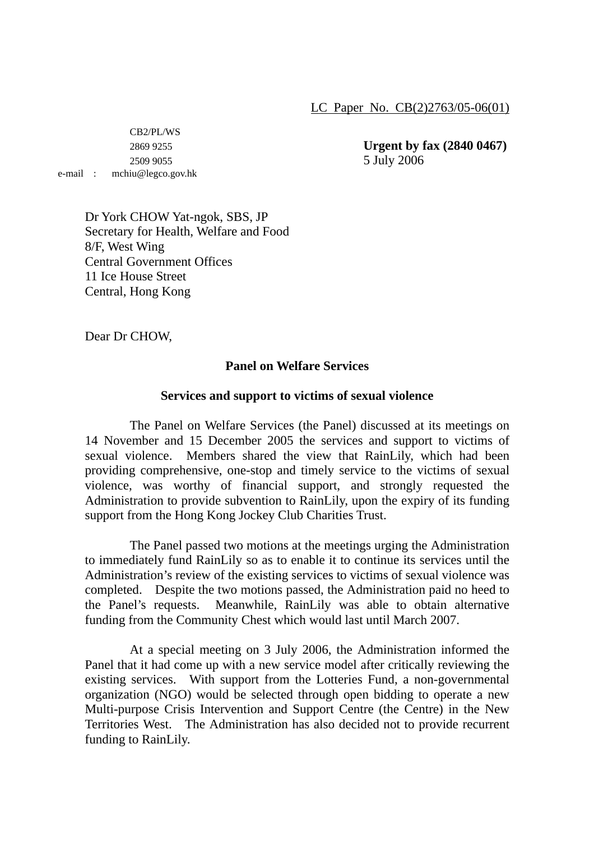LC Paper No. CB(2)2763/05-06(01)

 CB2/PL/WS 2509 9055 5 July 2006 e-mail : mchiu@legco.gov.hk

2869 9255 **Urgent by fax (2840 0467)** 

Dr York CHOW Yat-ngok, SBS, JP Secretary for Health, Welfare and Food 8/F, West Wing Central Government Offices 11 Ice House Street Central, Hong Kong

Dear Dr CHOW,

## **Panel on Welfare Services**

## **Services and support to victims of sexual violence**

The Panel on Welfare Services (the Panel) discussed at its meetings on 14 November and 15 December 2005 the services and support to victims of sexual violence. Members shared the view that RainLily, which had been providing comprehensive, one-stop and timely service to the victims of sexual violence, was worthy of financial support, and strongly requested the Administration to provide subvention to RainLily, upon the expiry of its funding support from the Hong Kong Jockey Club Charities Trust.

The Panel passed two motions at the meetings urging the Administration to immediately fund RainLily so as to enable it to continue its services until the Administration's review of the existing services to victims of sexual violence was completed. Despite the two motions passed, the Administration paid no heed to the Panel's requests. Meanwhile, RainLily was able to obtain alternative funding from the Community Chest which would last until March 2007.

At a special meeting on 3 July 2006, the Administration informed the Panel that it had come up with a new service model after critically reviewing the existing services. With support from the Lotteries Fund, a non-governmental organization (NGO) would be selected through open bidding to operate a new Multi-purpose Crisis Intervention and Support Centre (the Centre) in the New Territories West. The Administration has also decided not to provide recurrent funding to RainLily.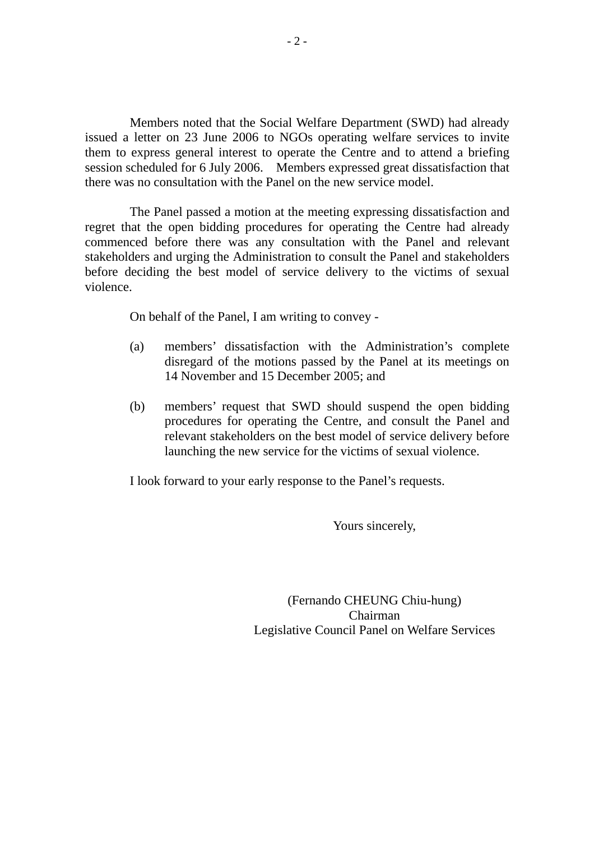Members noted that the Social Welfare Department (SWD) had already issued a letter on 23 June 2006 to NGOs operating welfare services to invite them to express general interest to operate the Centre and to attend a briefing session scheduled for 6 July 2006. Members expressed great dissatisfaction that there was no consultation with the Panel on the new service model.

The Panel passed a motion at the meeting expressing dissatisfaction and regret that the open bidding procedures for operating the Centre had already commenced before there was any consultation with the Panel and relevant stakeholders and urging the Administration to consult the Panel and stakeholders before deciding the best model of service delivery to the victims of sexual violence.

On behalf of the Panel, I am writing to convey -

- (a) members' dissatisfaction with the Administration's complete disregard of the motions passed by the Panel at its meetings on 14 November and 15 December 2005; and
- (b) members' request that SWD should suspend the open bidding procedures for operating the Centre, and consult the Panel and relevant stakeholders on the best model of service delivery before launching the new service for the victims of sexual violence.

I look forward to your early response to the Panel's requests.

Yours sincerely,

(Fernando CHEUNG Chiu-hung) Chairman Legislative Council Panel on Welfare Services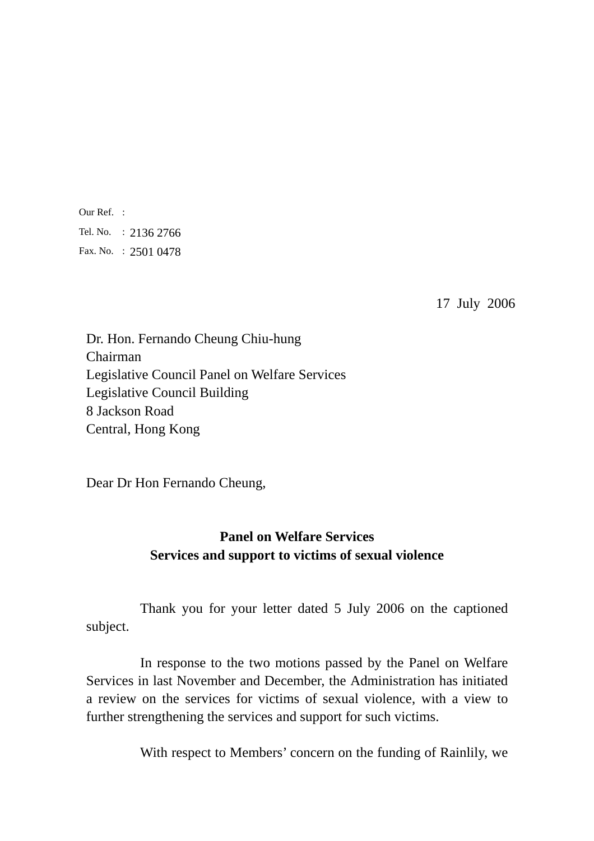Our Ref. : Tel. No. : 2136 2766 Fax. No. : 2501 0478

17 July 2006

Dr. Hon. Fernando Cheung Chiu-hung Chairman Legislative Council Panel on Welfare Services Legislative Council Building 8 Jackson Road Central, Hong Kong

Dear Dr Hon Fernando Cheung,

## **Panel on Welfare Services Services and support to victims of sexual violence**

Thank you for your letter dated 5 July 2006 on the captioned subject.

In response to the two motions passed by the Panel on Welfare Services in last November and December, the Administration has initiated a review on the services for victims of sexual violence, with a view to further strengthening the services and support for such victims.

With respect to Members' concern on the funding of Rainlily, we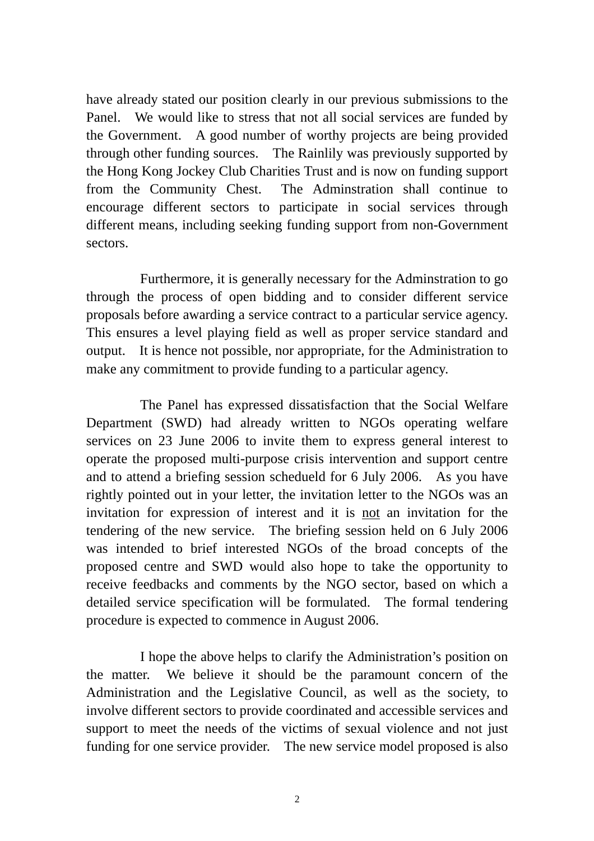have already stated our position clearly in our previous submissions to the Panel. We would like to stress that not all social services are funded by the Government. A good number of worthy projects are being provided through other funding sources. The Rainlily was previously supported by the Hong Kong Jockey Club Charities Trust and is now on funding support from the Community Chest. The Adminstration shall continue to encourage different sectors to participate in social services through different means, including seeking funding support from non-Government sectors.

Furthermore, it is generally necessary for the Adminstration to go through the process of open bidding and to consider different service proposals before awarding a service contract to a particular service agency. This ensures a level playing field as well as proper service standard and output. It is hence not possible, nor appropriate, for the Administration to make any commitment to provide funding to a particular agency.

The Panel has expressed dissatisfaction that the Social Welfare Department (SWD) had already written to NGOs operating welfare services on 23 June 2006 to invite them to express general interest to operate the proposed multi-purpose crisis intervention and support centre and to attend a briefing session schedueld for 6 July 2006. As you have rightly pointed out in your letter, the invitation letter to the NGOs was an invitation for expression of interest and it is not an invitation for the tendering of the new service. The briefing session held on 6 July 2006 was intended to brief interested NGOs of the broad concepts of the proposed centre and SWD would also hope to take the opportunity to receive feedbacks and comments by the NGO sector, based on which a detailed service specification will be formulated. The formal tendering procedure is expected to commence in August 2006.

I hope the above helps to clarify the Administration's position on the matter. We believe it should be the paramount concern of the Administration and the Legislative Council, as well as the society, to involve different sectors to provide coordinated and accessible services and support to meet the needs of the victims of sexual violence and not just funding for one service provider. The new service model proposed is also